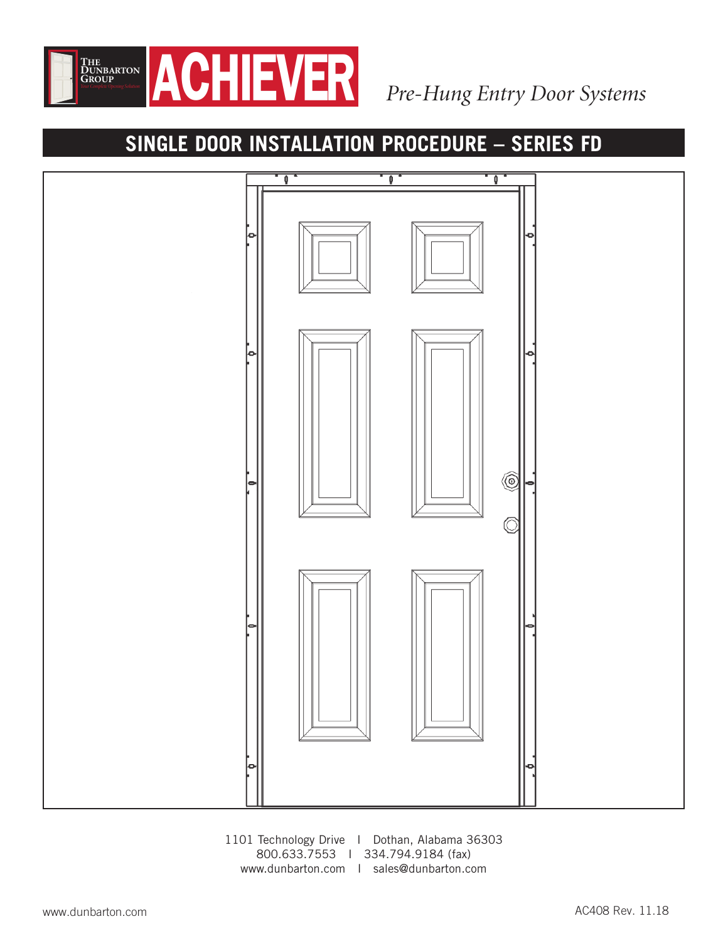

# **SINGLE DOOR INSTALLATION PROCEDURE – SERIES FD**



1101 Technology Drive I Dothan, Alabama 36303 800.633.7553 I 334.794.9184 (fax) www.dunbarton.com I sales@dunbarton.com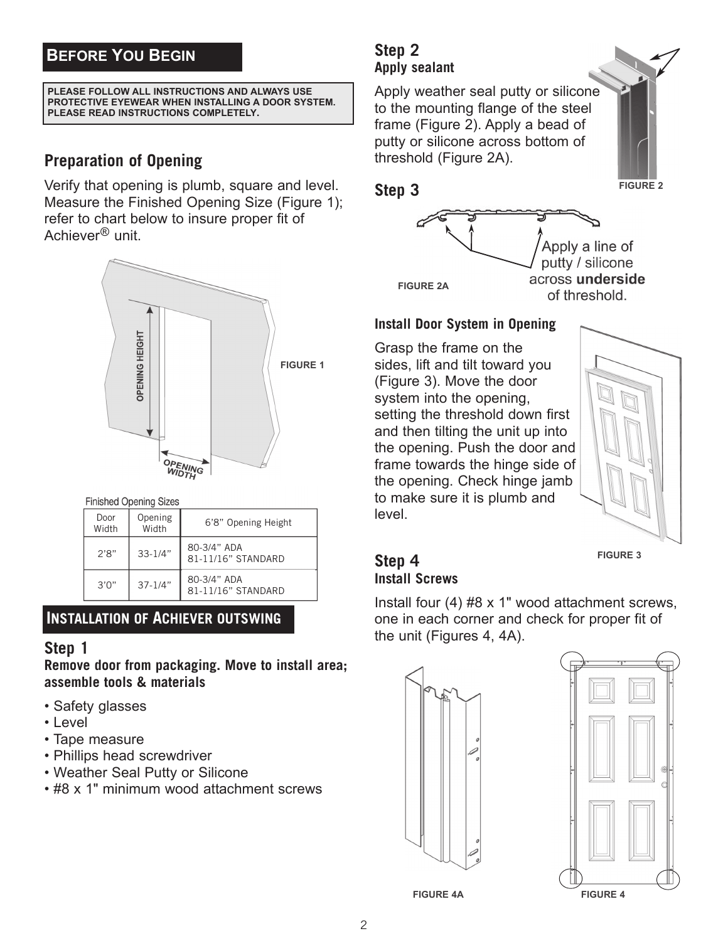# **BEFORE YOU BEGIN**

#### **PLEASE FOLLOW ALL INSTRUCTIONS AND ALWAYS USE PROTECTIVE EYEWEAR WHEN INSTALLING A DOOR SYSTEM. PLEASE READ INSTRUCTIONS COMPLETELY.**

## **Preparation of Opening**

Verify that opening is plumb, square and level. Measure the Finished Opening Size (Figure 1); refer to chart below to insure proper fit of Achiever® unit.



**Finished Opening Sizes** 

| Door<br>Width | Opening<br>Width | 6'8" Opening Height               |
|---------------|------------------|-----------------------------------|
| 2'8"          | $33 - 1/4"$      | 80-3/4" ADA<br>81-11/16" STANDARD |
| 3'0''         | $37 - 1/4"$      | 80-3/4" ADA<br>81-11/16" STANDARD |

## **INSTALLATION OF ACHIEVER OUTSWING**

### **Step 1**

**Remove door from packaging. Move to install area; assemble tools & materials**

- Safety glasses
- Level
- Tape measure
- Phillips head screwdriver
- Weather Seal Putty or Silicone
- #8 x 1" minimum wood attachment screws

## **Step 2 Apply sealant**

Apply weather seal putty or silicone to the mounting flange of the steel frame (Figure 2). Apply a bead of putty or silicone across bottom of threshold (Figure 2A).



### **Step 3**



### **Install Door System in Opening**

Grasp the frame on the sides, lift and tilt toward you (Figure 3). Move the door system into the opening, setting the threshold down first and then tilting the unit up into the opening. Push the door and frame towards the hinge side of the opening. Check hinge jamb to make sure it is plumb and level.



**FIGURE 3**

## **Step 4 Install Screws**

Install four (4) #8 x 1" wood attachment screws, one in each corner and check for proper fit of the unit (Figures 4, 4A).





**FIGURE 4A**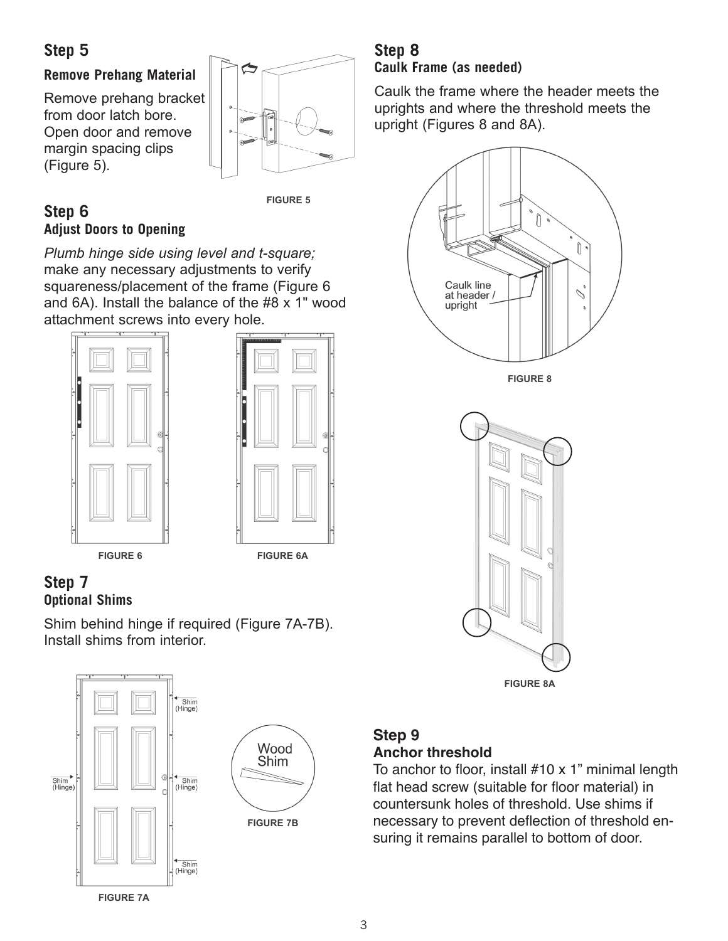# **Step 5**

## **Remove Prehang Material**

Remove prehang bracket from door latch bore. Open door and remove margin spacing clips (Figure 5).



### **FIGURE 5**

### **Step 6 Adjust Doors to Opening**

*Plumb hinge side using level and t-square;* make any necessary adjustments to verify squareness/placement of the frame (Figure 6 and 6A). Install the balance of the #8 x 1" wood attachment screws into every hole.





## **Step 7 Optional Shims**

Shim behind hinge if required (Figure 7A-7B). Install shims from interior.



## **Step 8 Caulk Frame (as needed)**

Caulk the frame where the header meets the uprights and where the threshold meets the upright (Figures 8 and 8A).





## **Step 9 Anchor threshold**

To anchor to floor, install #10 x 1" minimal length flat head screw (suitable for floor material) in countersunk holes of threshold. Use shims if necessary to prevent deflection of threshold ensuring it remains parallel to bottom of door.